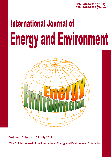**ISSN 2076-2895 (Print) ISSN 2076-2909 (Online)**

# **International Journal of Energy and Environment**



**Volume 10, Issue 4, 31 July 2019**

**The Official Journal of the International Energy and Environment Foundation**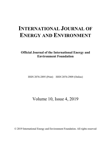# **INTERNATIONAL JOURNAL OF ENERGY AND ENVIRONMENT**

**Official Journal of the International Energy and Environment Foundation**

ISSN 2076-2895 (Print) ISSN 2076-2909 (Online)

Volume 10, Issue 4, 2019

© 2019 International Energy and Environment Foundation. All rights reserved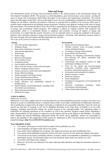### **Aims and Scope**

The International Journal of Energy and Environment (IJEE) is the official journal of the International Energy and Environment Foundation (IEEF). The journal is a multi-disciplinary, peer-reviewed open access journal, covering all areas of energy and environment related fields that apply to the science and engineering communities. The journal enjoys the full support of the IEEF, who provide funds to cover all costs of publication, including the Article Processing Charges for all authors. Therefore the journal is both free to read and free to publish in for everyone. IJEE aims to promote rapid communication and dialogue among researchers, scientists, and engineers working in the areas of energy and environment. The journal provides a focus for activities concerning the development, assessment and management of energy and environment related programs. The emphasis is placed on original research, both analytical and experimental, which is of permanent interest to engineers and scientists, covering all aspects of energy and environment. It is hoped that this journal will prove to be an important factor in raising the standards of discussion, analyses, and evaluations relating to energy and environment programs. All articles with significant research results in the areas of energy and environment and their application are welcome.

*The scope of the journal encompasses the following:*

#### **Energy**

- Fuel cells and their applications.
- Hydrogen energy.
- Photovoltaic technology conversion.
- Solar thermal applications.
- Wind energy.
- Hydro energy.
- Biomass and bioenergy.
- Wave and tide energy.
- Geothermal energy.
- Fuel flexibility and alternatives.
- Micro- and nano-energy systems and technologies.
- Hybrid / integrated energy systems.
- Energy conversion, conservation and management.
- Energy efficient buildings.
- Energy generation and energy storage.
- Energy modelling and prediction.
- Energy and sustainable development.
- Energy efficiency and sustainability inherent in heritage places.
- Fluid mechanics and thermodynamics, including CFD, heat transfer and combustion.
- Smart materials and structures.
- Materials for energy.

#### **Environment**

- Energy and environmental impact.
- Thermal, acoustic, visual, air quality building science and human impacts.
- Eco-design of energy-related products.
- Green electric and electronics.
- Solutions for mitigating environmental impacts and achieving low carbon, sustainable built environments.
- Technologies and integrated systems for high performance buildings and cities.
- Tools for the design and decision-making community, including tested computational, economic, educational and policy tools.
- Environment and sustainable development.
- Quality assurance / control.
- Emissions reduction.
- Waste management.
- Evaluation & management of environmental risk and safety.
- Advanced visualization techniques, virtual environments and prototyping.
- Water-related engineering issues.

#### **A note to authors**

#### *Submission of articles*

Submission of an article implies that the work described has not been published previously (except in the form of an abstract or as part of a published lecture or academic thesis), that it is not under consideration for publication elsewhere, that its publication is approved by all authors and tacitly or explicitly by the responsible authorities where the work was carried out, and that, if accepted, it will not be published elsewhere in the same form, in English or in any other language, including electronically without the written consent of the copyright-holder. The submitting author is responsible for obtaining agreement of all co-authors as well as any sponsors' required consent before submitting a paper. Responsibility for the content of a paper lays on the Authors and not on the Editors or the Publisher. All authors must complete the 'Journal Publishing Agreement' before the article can be published. Authors are encouraged to observe the guidelines in the preparation of their articles for submission to IJEE. Full instructions can be found on the journal homepage (*http://www.IJEE.IEEFoundation.org*).

#### **Your Submitted Article**

- Your article will be peer-reviewed and if accepted will be published very fast.
- Your biography will appear at the end of your article.
- Your article will be published free of charge. The Authors do not pay any kind of publication fees.
- Your article will be published around the world in full color. Free use of color where this enhances the article.
- Your article can be read by potentially millions of readers, which is incomparable to publishing in a traditional subscription journal. All interested readers can read, download, and/or print your article at no cost!
- Your article will obtain more citations.
- Moreover, all articles are indexed by the major indexing media therefore providing the maximum exposure to the articles.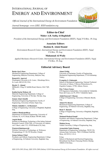# INTERNATIONAL JOURNAL OF ENERGY AND ENVIRONMENT

*Official Journal of the International Energy & Environment Foundation*

*Journal homepage: www.IJEE. IEEFoundation.org*



# **Editor-in-Chief**

**Maher A.R. Sadiq Al-Baghdadi**

*President of the International Energy and Environment Foundation (IEEF), Najaf, P.O.Box. 39, Iraq.*

# **Associate Editors**

# **Hashim R. Abdol Hamid**

*Environment Research Center, International Energy and Environment Foundation (IEEF), Najaf, P.O.Box. 39, Iraq.*

## **Muhannad Al-Waily**

*Applied Mechanics Research Center, International Energy and Environment Foundation (IEEF), Najaf, P.O.Box. 39, Iraq.*

# **Editorial Advisory Board**

#### **Basim Ajeel Abass**

Mechanical Engineering Department, College of Engineering, Babylon University, Babylon, Iraq .

#### **Ramesh K. Agarwal**

Washington University in St. Louis, 1 Brookings Drive, St. Louis, MO 63130, USA

**Hayder Y. Ahmad** MIMechE, CEng, 81 Suffolk Road, Harrow, HA2 7QF, UK.

#### **Kadim Karim Mohsen Ali**

Materials Engineering Department, College of Engineering, University of Thi-Qar, Thi-Qar, Iraq.

#### **Zaman Abud Almalik**

Mechanical Engineering Department, Faculty of Engineering, University of Kufa, Najaf, Iraq .

#### **Mohsin Abdullah A. Al-Shammari**

College of Engineering, University of Baghdad, Baghdad, Iraq.

#### **Amitava Bandyopadhyay**

Department of Chemical Engineering, University of Calcutta, 92, A.P.C.Road, Kolkata 700 009, India.

#### **Angelo Basile**

Institute on Membrane Technology of the Italian National Research Council, ITM-CNR, c/o University of Calabria, via P. Bucci, cubo 17/C, 87030 Rende (CS), Italy.

#### **Wojciech Budzianowski**

Wroclaw University of Technology, ul. Wybrzeze Wyspianskiego 27, 50-370 Wroclaw, Poland.

#### **Jumaa Salman Chiad**

Prosthetic and Orthotic Engineering Department, College of Engineering, Al-Nahrain University, Baghdad, Iraq.

#### **Ahmet Erklig**

University of Gaziantep, Faculty of Engineering, Mechanical Engineering Department, 27310 Gaziantep, **Turkey** 

#### **Evangelos G. Giakoumis**

School of Mechanical Engineering, National Technical University of Athens, 9 Heroon Polytechniou St., Zografou Campus, 15780, Athens, Greece.

#### **Eloy Velasco Gomez**

ETS Ingenieros Industriales, Universidad de Valladolid, Paseo del Cauce, no 59, 47011 Valladolid, Spain.

#### **Abdul Kareem F. Hassan**

College of Engineering, University of Basrah, Basrah, Iraq.

# **Ahmed M. Hasson**

Mechanical Engineering Department, College of Engineering, Al-Nahrain University, Baghdad, Iraq.

#### **Ihsan Y. Hussain**

College of Engineering, University of Baghdad, Baghdad, Iraq.

#### **Mahmud Rasheed Ismail**

Prosthetic and Orthotic Engineering Department, College of Engineering, Al-Nahrain University, Baghdad, Iraq.

#### **Muhsin Jweeg**

Telafer University, College of Engineering, Iraq.

#### **Arunachala Nadar Kannan**

Department of Engineering Technology, TECH 156, Arizona State University, 7001 E Williams Field Rd, Mesa, AZ 85212, U.S.A.

#### **T. Lu**

School of Mechanical and Electrical Engineering, Beisanhuan East Road, Chaoyang District, Beijing 100029, P.R.China.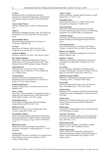#### **A. Mani**

Refrigeration and Air-conditioning Laboratory, Department of Mechanical Engineering, Indian Institute of Technology Madras, Chennai 36, Pincode 600 036, India.

#### **Ameen Ahmed Nassar**

College of Engineering, University of Basrah, Basrah, Iraq.

#### **Meng Ni**

Department of Building and Real Estate, The Hong Kong Polytechnic University, Hung Hom, Kowloon, Hong Kong.

#### **Jawad Kadhim Oleiwi**

Materials Engineering Department, University of Technology, Baghdad, Iraq.

#### **S-J Park**

Department of Chemistry, Inha University, 253 Yonghyun-dong, Nam-gu 402-751, Korea (south).

#### **Andreas Poullikkas**

Electricity Authority of Cyprus, 1399 Nicosia, Cyprus.

#### **Md. Mujibur Rahman**

Department of Mechanical Engineering, College of Engineering, Universiti Tenaga Nasional, Km 7, Jalan Kajang-Puchong, 43009 Kajang, Selangor, Malaysia.

#### **Julien Ramousse**

Polytech'Savoie, Université de Savoie, Campus scientifique, Savoie Technolac, 73376 Le Bourget, du Lac, CEDEX, France.

#### **Teemu Rasanen**

Research Group of Environmental Informatics, Department of Environmental Sciences, University of Kuopio, FI-70211 Kuopio, Finland.

#### **Kadhim Kamil Resan**

College of Engineering, Al-mustansiriyah University, Baghdad, Iraq.

#### **Marc A. Rosen**

University of Ontario Institute of Technology, Faculty of Engineering and Applied Science, 2000 Simcoe Street North, Oshawa, Ontario, L1H 7K4, Canada.

#### **David Michael Rowe**

Cardiff School of Engineering, Queen's Buildings, Newport Road Cardiff CF24 1XF, U.K.

#### **Hisham M. Sabir**

Kingston University, Faculty of Engineering, Friars Avenue, London SW15 3DW, U.K.

#### **Suresh Babu Sadineni**

Center for Energy Research, Department of Mechanical Engineering, Howard R. Hughes College of Engineering, University of Nevada, Las Vegas (UNLV) 89154-4027, U.S.A.

#### **Bidyut Baran Saha**

Department of Mechanical Engineering, National University of Singapore, 9 Engineering Drive 1, 117576, Singapore.

#### **Vicente Salas**

Department of Electronic Technology, Universidad Carlos III de Madrid, Avda. de la Universidad, 30, 28911 Leganes, Madrid, Spain.

#### **Amin U. Sarkar**

School of Business, Alabama A&M University, Normal (Huntsville), AL 35762, U.S.A.

#### **Moinuddin Sarker**

Natural State Research, Inc., 37 Brown House Road (Second Floor), Stamford, CT-06902, USA.

#### **Joop Schoonman**

Department DelftChemTech: Materials for Energy Conversion and Storage, Delft University of Technology, Julianalaan 136, 2628 BL Delft, The Netherlands.

#### **Tomonobu Senjyu**

University of the Ryukyus, Faculty of Engineering, 1 Senbaru Nishihara-cho Nakagami Okinawa 903-0213, Japan.

#### **Jose Ramon Serrano**

Universidad Politécnica de Valencia, CMT-Motores Térmicos, Camino de Vera s/n, 46022 Valencia, Spain.

#### **Haroun A.K. Shahad**

Department of Mechanical Engineering, University of Babylon, Babylon, Iraq

#### **Rajnish N. Sharma**

Department of Mechanical Engineering, University of Auckland, Private Bag 92019, Auckland 1142, New Zealand.

#### **S.A. Sherif**

HVAC Laboratory, Department of Mechanical and Aerospace Engineering, University of Florida, 232 MAE Bldg. B, Gainesville, Florida 32611-6300, U.S.A.

#### **Shailendra Kumar Shukla**

Department of Mechanical Engineering, Institute of Technology, B.H.U., Varanasi-221005, India.

#### **Rayan Slim**

Center for Energy and Processes, Ecole des Mines de Paris, 104 Bobillot Street, 75013 Paris, France.

#### **Laizhou Song**

Department of Environmental and Chemical Engineering, Yanshan University, Qinhuangdao City, Hebei Province, P.R.China.

#### **Adnan Sozen**

Department of Mechanical Education, Gazi University, Technical Education Faculty 06500 Teknikokullar, Ankara Turkey.

#### **Roland Span**

Lehrstuhl für Thermodynamik, Ruhr-University Bochum, D-44780 Bochum, Germany.

#### **Anurag K. Srivastava**

Electrical and Computer Engineering, Mississippi State University, 216 Simrall Hall, Hardy Road, Mississippi State, MS 39762, U.S.A.

#### **Rosetta Steeneveldt**

Research Centre Trondheim, StatoilHydro, Arkitekt Ebbells vei 10, N 7005 Trondheim, Norway.

#### **Athina Stegou-Sagia**

School of Mechanical Engineering, Department of Thermal Engineering, National Technical University of Athens, 9 Iroon Polytechniou Str. Zografou 157 80, Athens, Greece.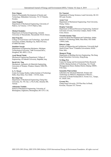#### **Peter Stigson**

School of Sustainable Development of Society and Technology, Mälardalen University, 721 23 Västerås, Sweden.

#### **Anna Stoppato**

Department of Mechanical Engineering, University of Padova, via Venezia, 1-35131 Padova, Italy.

#### **Michael Stoukides**

Department of Chemical Engineering, Aristotle University of Thessaloniki, Thessaloniki 54124, Greece.

#### **Jian-Feng Sun**

College of Food Science and Technology, Agricultural University of Hebei, Baoding City, Hebei Province, 071000 P.R.China.

#### **Stanislaw Szwaja**

Department of Engineering Mechanics, Michigan Technological University, 1400 Townsend Drive, Houghton, MI, 49931, U.S.A.

#### **Ayad Murad Takak**

Mechanical Engineering Department, College of Engineering, Al-Nahrain University, Baghdad, Iraq.

#### **David S-K. Ting**

Mechanical, Automotive & Materials Engineering, University of Windsor, Windsor, Ontario, N9B 3P4, Canada.

#### **G. N. Tiwari**

Centre for Energy Studies, Indian Institute of Technology Delhi, Hauz Khas, New Delhi - 110 016, India.

#### **Bor-Jang Tsai**

Department of Mechanical Engineering, Chung Hua University, No. 707, Sec. 2, Wu Fu Rd., Hsinchu 300, Taiwan.

#### **Athanasios Tsolakis**

School of Mechanical Engineering, University of Birmingham, Edgbaston, Birmingham, B15 2TT, U.K.

#### **Per Tunestal**

Department of Energy Sciences, Lund University, SE-221 00 Lund, Sweden.

#### **Aynur Ucar**

Department of Mechanical Engineering, Firat University, Elazig, Turkey.

#### **Despina Vamvuka**

Department of Mineral Resources Engineering, Technical University of Crete, University Campus, Hania 73100, Crete, Greece.

#### **Virendra Kumar Vijay**

Centre for Rural Development and Technology, Indian Institute of Technology Delhi, Hauz Khas, New Delhi 110016, India.

#### **Roberto Volpe**

Faculty of Engineering and Architecture, Università degli Studi di Enna "Kore" Cittadella Universitaria, 94100 - Enna, Italy.

#### **Shengwei Wang**

Department of Building Services Engineering, The Hong Kong Polytechnic University, Hong Kong.

#### **Yi-Ming Wei**

Center for Energy and Environmental Policy Research (CEEP), Beijing Institute of Technology, No.5 South Zhongguancun Street, Haidian District, Beijing 100081, P.R.China.

#### **Samantha Wijewardane**

Laboratory for Advanced Materials, Science and Technology (LAMSAT), Department of Physics, University of South Florida,4202 E. Fowler Ave., Tampa, FL 33620, USA.

#### **Gwomei Wu**

Chang Gung University, 259 Wen Hua 1st Road, Kweisan, Taoyuan 333, Taiwan.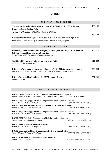| <b>ENERGY AND ENVIRONMENT</b>                                                                                                                                                           |         |
|-----------------------------------------------------------------------------------------------------------------------------------------------------------------------------------------|---------|
| The carbon footprint of the historic centre of the Municipality of Trevignano<br>Romano - Lazio Region, Italy.<br>Adriana SFERRA, Matteo SFORZINI, Alessia D'ANGELO                     | 169-186 |
| Business feasibility analysis of solar power plants in east-sumba energy zone.<br>Budi Yulianto, Syamsul Maarif, Chandra Wijaya, Hartrisari Hardjomidjojo                               | 187-194 |
| <b>APPLIED MECHANICS</b>                                                                                                                                                                |         |
| Improving of artificial hip joint design by studying multiple angles of articulation<br>between femoral head and acetabular liner.<br>Yousuf Jamal Mahboba, Mohsin Abdullah Al-Shammari | 195-210 |
| Stability of FG material micro-pipe conveying fluid.<br>Talib EH. Elaikh, Nada M. Abed                                                                                                  | 211-222 |
| Influence of corrosion on buckling resistance of AISI 304 stainless steel columns.<br>Ahmed A. Ibrahim, Al- Alkawi H. J, Al Nagshabandi A. M. Rachid, Samih K. Al-najjar                | 223-230 |
| Effect of repeated load on life of the PMMA molar denture.<br>Kadhim K. Resan                                                                                                           | 231-236 |

# ANNOUNCEMENTS - IEEF RELEASE

| <b>BOOK: CFD Applications in Energy and Environment Sectors: Volume 1.</b>       |                                |  |  |
|----------------------------------------------------------------------------------|--------------------------------|--|--|
| Editors: Maher A.R. Sadiq Al-Baghdadi and Hashim R. Abdol Hamid                  | $(ISBN 13: 978-1-46623-065-1)$ |  |  |
|                                                                                  |                                |  |  |
| <b>BOOK: Engineering Applications of Computational Fluid Dynamics: Volume 1.</b> |                                |  |  |
| Editor: Maher A.R. Sadiq Al-Baghdadi                                             | $(ISBN 13: 978-1-46623-106-1)$ |  |  |
| <b>BOOK: CFD Modeling in Development of Renewable Energy Applications.</b>       |                                |  |  |
| Editor: Maher A.R. Sadiq Al-Baghdadi                                             | $(ISBN 13: 978-1-46623-131-3)$ |  |  |
|                                                                                  |                                |  |  |
| <b>BOOK: Engineering Applications of Computational Fluid Dynamics: Volume 2.</b> |                                |  |  |
| Editor: Maher A.R. Sadiq Al-Baghdadi                                             | $(ISBN 13: 978-1-47832-935-0)$ |  |  |
|                                                                                  |                                |  |  |
| <b>BOOK: PEM Fuel Cells - Fundamentals, Modeling, and Applications.</b>          |                                |  |  |
| Author: Maher A.R. Sadiq Al-Baghdadi                                             | $(ISBN 13: 978-1-48197-823-1)$ |  |  |
|                                                                                  |                                |  |  |
| <b>BOOK: Alternative Fuels Research Progress.</b>                                |                                |  |  |
| Editor: Maher A.R. Sadiq Al-Baghdadi                                             | (ISBN 13: 978-1-48405-771-1)   |  |  |
| <b>BOOK: Computational Fluid Dynamics Applications in Green Design.</b>          |                                |  |  |
| Editor: Maher A.R. Sadiq Al-Baghdadi                                             | $(ISBN 13: 978-1-49487-575-6)$ |  |  |
|                                                                                  |                                |  |  |
| <b>BOOK: Stress Redistribution in Composite Materials.</b>                       |                                |  |  |
| Author: Luay S. Alansari                                                         | $(ISBN 13: 978-1-49730-742-1)$ |  |  |
|                                                                                  |                                |  |  |